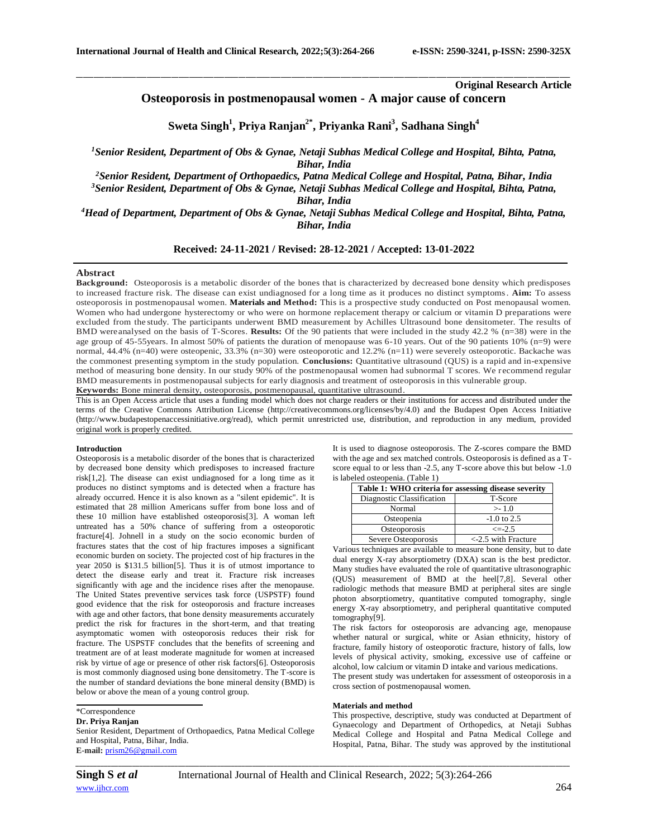**Original Research Article**

**Osteoporosis in postmenopausal women - A major cause of concern**

\_\_\_\_\_\_\_\_\_\_\_\_\_\_\_\_\_\_\_\_\_\_\_\_\_\_\_\_\_\_\_\_\_\_\_\_\_\_\_\_\_\_\_\_\_\_\_\_\_\_\_\_\_\_\_\_\_\_\_\_\_\_\_\_\_\_\_\_\_\_\_\_\_\_\_\_\_\_\_\_\_\_\_\_\_\_\_\_\_\_\_\_\_\_\_\_\_\_\_\_\_\_\_\_\_\_\_\_\_\_\_\_\_\_\_\_\_\_\_\_\_\_\_\_\_\_\_\_\_\_\_\_\_\_\_\_\_\_\_\_

# **Sweta Singh<sup>1</sup> , Priya Ranjan2\* , Priyanka Rani<sup>3</sup> , Sadhana Singh<sup>4</sup>**

*<sup>1</sup>Senior Resident, Department of Obs & Gynae, Netaji Subhas Medical College and Hospital, Bihta, Patna, Bihar, India*

*<sup>2</sup>Senior Resident, Department of Orthopaedics, Patna Medical College and Hospital, Patna, Bihar, India*

*<sup>3</sup>Senior Resident, Department of Obs & Gynae, Netaji Subhas Medical College and Hospital, Bihta, Patna, Bihar, India*

*<sup>4</sup>Head of Department, Department of Obs & Gynae, Netaji Subhas Medical College and Hospital, Bihta, Patna, Bihar, India*

## **Received: 24-11-2021 / Revised: 28-12-2021 / Accepted: 13-01-2022**

#### **Abstract**

**Background:** Osteoporosis is a metabolic disorder of the bones that is characterized by decreased bone density which predisposes to increased fracture risk. The disease can exist undiagnosed for a long time as it produces no distinct symptoms. **Aim:** To assess osteoporosis in postmenopausal women. **Materials and Method:** This is a prospective study conducted on Post menopausal women. Women who had undergone hysterectomy or who were on hormone replacement therapy or calcium or vitamin D preparations were excluded from the study. The participants underwent BMD measurement by Achilles Ultrasound bone densitometer. The results of BMD wereanalysed on the basis of T-Scores. **Results:** Of the 90 patients that were included in the study 42.2 % (n=38) were in the age group of 45-55years. In almost 50% of patients the duration of menopause was 6-10 years. Out of the 90 patients 10% (n=9) were normal, 44.4% (n=40) were osteopenic, 33.3% (n=30) were osteoporotic and 12.2% (n=11) were severely osteoporotic. Backache was the commonest presenting symptom in the study population. **Conclusions:** Quantitative ultrasound (QUS) is a rapid and in-expensive method of measuring bone density. In our study 90% of the postmenopausal women had subnormal T scores. We recommend regular BMD measurements in postmenopausal subjects for early diagnosis and treatment of osteoporosis in this vulnerable group. **Keywords:** Bone mineral density, osteoporosis, postmenopausal, quantitative ultrasound.

This is an Open Access article that uses a funding model which does not charge readers or their institutions for access and distributed under the terms of the Creative Commons Attribution License (http://creativecommons.org/licenses/by/4.0) and the Budapest Open Access Initiative (http://www.budapestopenaccessinitiative.org/read), which permit unrestricted use, distribution, and reproduction in any medium, provided original work is properly credited.

#### **Introduction**

Osteoporosis is a metabolic disorder of the bones that is characterized by decreased bone density which predisposes to increased fracture risk[1,2]. The disease can exist undiagnosed for a long time as it produces no distinct symptoms and is detected when a fracture has already occurred. Hence it is also known as a "silent epidemic". It is estimated that 28 million Americans suffer from bone loss and of these 10 million have established osteoporosis[3]. A woman left untreated has a 50% chance of suffering from a osteoporotic fracture[4]. Johnell in a study on the socio economic burden of fractures states that the cost of hip fractures imposes a significant economic burden on society. The projected cost of hip fractures in the year 2050 is \$131.5 billion[5]. Thus it is of utmost importance to detect the disease early and treat it. Fracture risk increases significantly with age and the incidence rises after the menopause. The United States preventive services task force (USPSTF) found good evidence that the risk for osteoporosis and fracture increases with age and other factors, that bone density measurements accurately predict the risk for fractures in the short-term, and that treating asymptomatic women with osteoporosis reduces their risk for fracture. The USPSTF concludes that the benefits of screening and treatment are of at least moderate magnitude for women at increased risk by virtue of age or presence of other risk factors[6]. Osteoporosis is most commonly diagnosed using bone densitometry. The T-score is the number of standard deviations the bone mineral density (BMD) is below or above the mean of a young control group.

## \*Correspondence

## **Dr. Priya Ranjan**

Senior Resident, Department of Orthopaedics, Patna Medical College and Hospital, Patna, Bihar, India. **E-mail:** [prism26@gmail.com](mailto:prism26@gmail.com)

It is used to diagnose osteoporosis. The Z-scores compare the BMD with the age and sex matched controls. Osteoporosis is defined as a Tscore equal to or less than -2.5, any T-score above this but below -1.0 is labeled osteopenia. (Table 1)

| Table 1: WHO criteria for assessing disease severity |                          |  |
|------------------------------------------------------|--------------------------|--|
| Diagnostic Classification                            | T-Score                  |  |
| Normal                                               | >1.0                     |  |
| Osteopenia                                           | $-1.0$ to 2.5            |  |
| Osteoporosis                                         | $\leq$ -2.5              |  |
| Severe Osteoporosis                                  | $\leq$ 2.5 with Fracture |  |

Various techniques are available to measure bone density, but to date dual energy X-ray absorptiometry (DXA) scan is the best predictor. Many studies have evaluated the role of quantitative ultrasonographic (QUS) measurement of BMD at the heel[7,8]. Several other radiologic methods that measure BMD at peripheral sites are single photon absorptiometry, quantitative computed tomography, single energy X-ray absorptiometry, and peripheral quantitative computed tomography[9].

The risk factors for osteoporosis are advancing age, menopause whether natural or surgical, white or Asian ethnicity, history of fracture, family history of osteoporotic fracture, history of falls, low levels of physical activity, smoking, excessive use of caffeine or alcohol, low calcium or vitamin D intake and various medications.

The present study was undertaken for assessment of osteoporosis in a cross section of postmenopausal women.

#### **Materials and method**

This prospective, descriptive, study was conducted at Department of Gynaecology and Department of Orthopedics, at Netaji Subhas Medical College and Hospital and Patna Medical College and Hospital, Patna, Bihar. The study was approved by the institutional

*\_\_\_\_\_\_\_\_\_\_\_\_\_\_\_\_\_\_\_\_\_\_\_\_\_\_\_\_\_\_\_\_\_\_\_\_\_\_\_\_\_\_\_\_\_\_\_\_\_\_\_\_\_\_\_\_\_\_\_\_\_\_\_\_\_\_\_\_\_\_\_\_\_\_\_\_\_\_\_\_\_\_\_\_\_\_\_\_\_\_\_\_\_\_\_\_\_\_\_\_\_\_\_\_\_\_\_\_\_\_\_\_\_\_\_\_\_\_\_\_\_\_\_\_\_\_\_\_\_\_\_\_\_\_\_\_\_\_\_\_*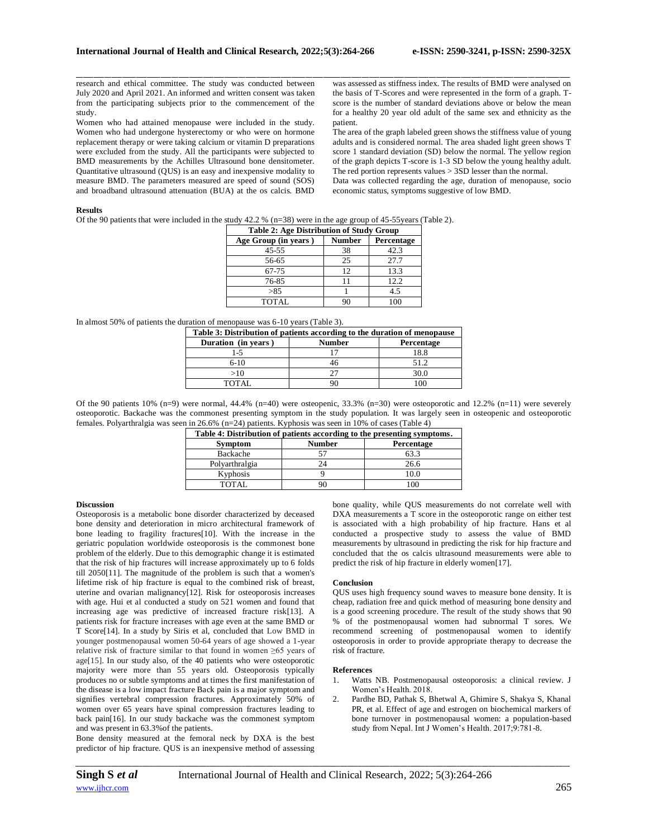research and ethical committee. The study was conducted between July 2020 and April 2021. An informed and written consent was taken from the participating subjects prior to the commencement of the study.

Women who had attained menopause were included in the study. Women who had undergone hysterectomy or who were on hormone replacement therapy or were taking calcium or vitamin D preparations were excluded from the study. All the participants were subjected to BMD measurements by the Achilles Ultrasound bone densitometer. Quantitative ultrasound (QUS) is an easy and inexpensive modality to measure BMD. The parameters measured are speed of sound (SOS) and broadband ultrasound attenuation (BUA) at the os calcis. BMD

\_\_\_\_\_\_\_\_\_\_\_\_\_\_\_\_\_\_\_\_\_\_\_\_\_\_\_\_\_\_\_\_\_\_\_\_\_\_\_\_\_\_\_\_\_\_\_\_\_\_\_\_\_\_\_\_\_\_\_\_\_\_\_\_\_\_\_\_\_\_\_\_\_\_\_\_\_\_\_\_\_\_\_\_\_\_\_\_\_\_\_\_\_\_\_\_\_\_\_\_\_\_\_\_\_\_\_\_\_\_\_\_\_\_\_\_\_\_\_\_\_\_\_\_\_\_\_\_\_\_\_\_\_\_\_\_\_\_\_\_ was assessed as stiffness index. The results of BMD were analysed on the basis of T-Scores and were represented in the form of a graph. Tscore is the number of standard deviations above or below the mean for a healthy 20 year old adult of the same sex and ethnicity as the patient.

The area of the graph labeled green shows the stiffness value of young adults and is considered normal. The area shaded light green shows T score 1 standard deviation (SD) below the normal. The yellow region of the graph depicts T-score is 1-3 SD below the young healthy adult. The red portion represents values > 3SD lesser than the normal. Data was collected regarding the age, duration of menopause, socio economic status, symptoms suggestive of low BMD.

#### **Results**

Of the 90 patients that were included in the study 42.2 % (n=38) were in the age group of 45-55years (Table 2).

| <b>Table 2: Age Distribution of Study Group</b> |               |            |  |
|-------------------------------------------------|---------------|------------|--|
| Age Group (in years)                            | <b>Number</b> | Percentage |  |
| $45 - 55$                                       | 38            | 42.3       |  |
| 56-65                                           | 25            | 27.7       |  |
| 67-75                                           | 12            | 13.3       |  |
| 76-85                                           | 11            | 12.2       |  |
| >85                                             |               | 4.5        |  |
| <b>TOTAL</b>                                    | 90            | 100        |  |

In almost 50% of patients the duration of menopause was 6-10 years (Table 3).

| Table 3: Distribution of patients according to the duration of menopause |               |            |  |
|--------------------------------------------------------------------------|---------------|------------|--|
| Duration (in years)                                                      | <b>Number</b> | Percentage |  |
| $1 - 5$                                                                  |               | 18.8       |  |
| $6-10$                                                                   | 46            | 51.2       |  |
| >10                                                                      |               | 30.0       |  |
| TOTAL.                                                                   |               |            |  |

Of the 90 patients  $10\%$  (n=9) were normal, 44.4% (n=40) were osteopenic, 33.3% (n=30) were osteoporotic and 12.2% (n=11) were severely osteoporotic. Backache was the commonest presenting symptom in the study population. It was largely seen in osteopenic and osteoporotic females. Polyarthralgia was seen in 26.6% (n=24) patients. Kyphosis was seen in 10% of cases (Table 4)

| Table 4: Distribution of patients according to the presenting symptoms. |               |                |  |
|-------------------------------------------------------------------------|---------------|----------------|--|
| <b>Symptom</b>                                                          | <b>Number</b> | Percentage     |  |
| Backache                                                                |               | 63.3           |  |
| Polyarthralgia                                                          | 24            | 26.6           |  |
| Kyphosis                                                                |               | 10.0           |  |
| TOTAL                                                                   |               | 0 <sup>0</sup> |  |

## **Discussion**

Osteoporosis is a metabolic bone disorder characterized by deceased bone density and deterioration in micro architectural framework of bone leading to fragility fractures[10]. With the increase in the geriatric population worldwide osteoporosis is the commonest bone problem of the elderly. Due to this demographic change it is estimated that the risk of hip fractures will increase approximately up to 6 folds till 2050[11]. The magnitude of the problem is such that a women's lifetime risk of hip fracture is equal to the combined risk of breast, uterine and ovarian malignancy[12]. Risk for osteoporosis increases with age. Hui et al conducted a study on 521 women and found that increasing age was predictive of increased fracture risk[13]. A patients risk for fracture increases with age even at the same BMD or T Score[14]. In a study by Siris et al, concluded that Low BMD in younger postmenopausal women 50-64 years of age showed a 1-year relative risk of fracture similar to that found in women ≥65 years of age[15]. In our study also, of the 40 patients who were osteoporotic majority were more than 55 years old. Osteoporosis typically produces no or subtle symptoms and at times the first manifestation of the disease is a low impact fracture Back pain is a major symptom and signifies vertebral compression fractures. Approximately 50% of women over 65 years have spinal compression fractures leading to back pain[16]. In our study backache was the commonest symptom and was present in 63.3%of the patients.

Bone density measured at the femoral neck by DXA is the best predictor of hip fracture. QUS is an inexpensive method of assessing bone quality, while QUS measurements do not correlate well with DXA measurements a T score in the osteoporotic range on either test is associated with a high probability of hip fracture. Hans et al conducted a prospective study to assess the value of BMD measurements by ultrasound in predicting the risk for hip fracture and concluded that the os calcis ultrasound measurements were able to predict the risk of hip fracture in elderly women[17].

## **Conclusion**

QUS uses high frequency sound waves to measure bone density. It is cheap, radiation free and quick method of measuring bone density and is a good screening procedure. The result of the study shows that 90 % of the postmenopausal women had subnormal T sores. We recommend screening of postmenopausal women to identify osteoporosis in order to provide appropriate therapy to decrease the risk of fracture.

## **References**

- 1. Watts NB. Postmenopausal osteoporosis: a clinical review. J Women's Health. 2018.
- 2. Pardhe BD, Pathak S, Bhetwal A, Ghimire S, Shakya S, Khanal PR, et al. Effect of age and estrogen on biochemical markers of bone turnover in postmenopausal women: a population-based study from Nepal. Int J Women's Health. 2017;9:781-8.

*\_\_\_\_\_\_\_\_\_\_\_\_\_\_\_\_\_\_\_\_\_\_\_\_\_\_\_\_\_\_\_\_\_\_\_\_\_\_\_\_\_\_\_\_\_\_\_\_\_\_\_\_\_\_\_\_\_\_\_\_\_\_\_\_\_\_\_\_\_\_\_\_\_\_\_\_\_\_\_\_\_\_\_\_\_\_\_\_\_\_\_\_\_\_\_\_\_\_\_\_\_\_\_\_\_\_\_\_\_\_\_\_\_\_\_\_\_\_\_\_\_\_\_\_\_\_\_\_\_\_\_\_\_\_\_\_\_\_\_\_*